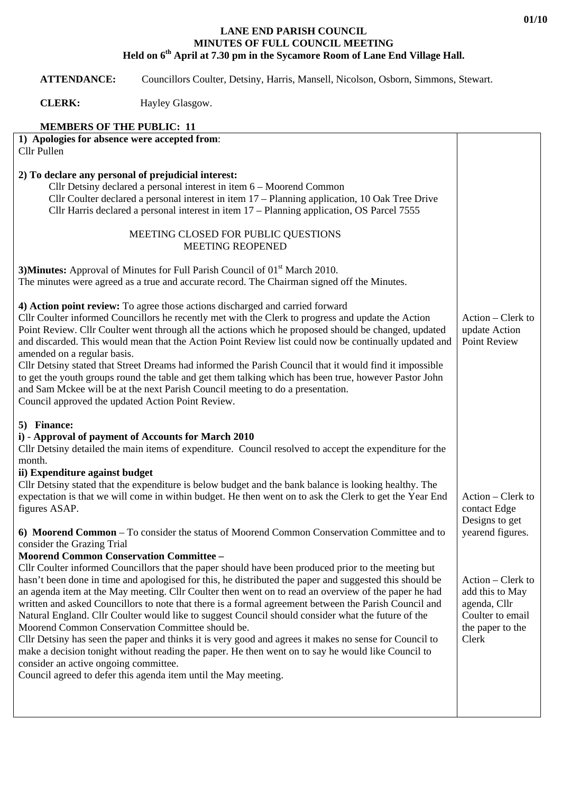## **LANE END PARISH COUNCIL MINUTES OF FULL COUNCIL MEETING Held on 6th April at 7.30 pm in the Sycamore Room of Lane End Village Hall.**

 **ATTENDANCE:** Councillors Coulter, Detsiny, Harris, Mansell, Nicolson, Osborn, Simmons, Stewart.

**CLERK:** Hayley Glasgow.

## **MEMBERS OF THE PUBLIC: 11**

| Action - Clerk to<br>update Action                                           |
|------------------------------------------------------------------------------|
| Action – Clerk to                                                            |
| Designs to get<br>yearend figures.                                           |
| Action – Clerk to<br>add this to May<br>Coulter to email<br>the paper to the |
| Point Review<br>contact Edge                                                 |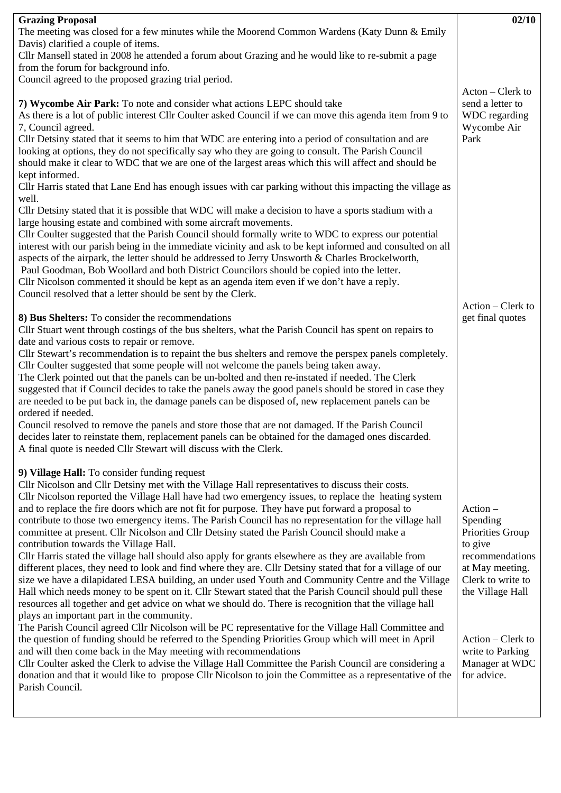| <b>Grazing Proposal</b>                                                                                                                                                                                                                                                                                                                                                                                                                                                                                                                                                                                                                                                                                                                                                                                                                                                                                                                                                                                                                                                                                                                                                                                                                                                                                                                                                                                                                                                                                                                                                                                                                                                                                                                      | 02/10                                                                                                                                                                                                          |
|----------------------------------------------------------------------------------------------------------------------------------------------------------------------------------------------------------------------------------------------------------------------------------------------------------------------------------------------------------------------------------------------------------------------------------------------------------------------------------------------------------------------------------------------------------------------------------------------------------------------------------------------------------------------------------------------------------------------------------------------------------------------------------------------------------------------------------------------------------------------------------------------------------------------------------------------------------------------------------------------------------------------------------------------------------------------------------------------------------------------------------------------------------------------------------------------------------------------------------------------------------------------------------------------------------------------------------------------------------------------------------------------------------------------------------------------------------------------------------------------------------------------------------------------------------------------------------------------------------------------------------------------------------------------------------------------------------------------------------------------|----------------------------------------------------------------------------------------------------------------------------------------------------------------------------------------------------------------|
| The meeting was closed for a few minutes while the Moorend Common Wardens (Katy Dunn & Emily                                                                                                                                                                                                                                                                                                                                                                                                                                                                                                                                                                                                                                                                                                                                                                                                                                                                                                                                                                                                                                                                                                                                                                                                                                                                                                                                                                                                                                                                                                                                                                                                                                                 |                                                                                                                                                                                                                |
| Davis) clarified a couple of items.                                                                                                                                                                                                                                                                                                                                                                                                                                                                                                                                                                                                                                                                                                                                                                                                                                                                                                                                                                                                                                                                                                                                                                                                                                                                                                                                                                                                                                                                                                                                                                                                                                                                                                          |                                                                                                                                                                                                                |
| Cllr Mansell stated in 2008 he attended a forum about Grazing and he would like to re-submit a page                                                                                                                                                                                                                                                                                                                                                                                                                                                                                                                                                                                                                                                                                                                                                                                                                                                                                                                                                                                                                                                                                                                                                                                                                                                                                                                                                                                                                                                                                                                                                                                                                                          |                                                                                                                                                                                                                |
| from the forum for background info.                                                                                                                                                                                                                                                                                                                                                                                                                                                                                                                                                                                                                                                                                                                                                                                                                                                                                                                                                                                                                                                                                                                                                                                                                                                                                                                                                                                                                                                                                                                                                                                                                                                                                                          |                                                                                                                                                                                                                |
| Council agreed to the proposed grazing trial period.                                                                                                                                                                                                                                                                                                                                                                                                                                                                                                                                                                                                                                                                                                                                                                                                                                                                                                                                                                                                                                                                                                                                                                                                                                                                                                                                                                                                                                                                                                                                                                                                                                                                                         |                                                                                                                                                                                                                |
| 7) Wycombe Air Park: To note and consider what actions LEPC should take<br>As there is a lot of public interest Cllr Coulter asked Council if we can move this agenda item from 9 to<br>7, Council agreed.<br>Cllr Detsiny stated that it seems to him that WDC are entering into a period of consultation and are<br>looking at options, they do not specifically say who they are going to consult. The Parish Council<br>should make it clear to WDC that we are one of the largest areas which this will affect and should be<br>kept informed.<br>Cllr Harris stated that Lane End has enough issues with car parking without this impacting the village as<br>well.<br>Cllr Detsiny stated that it is possible that WDC will make a decision to have a sports stadium with a<br>large housing estate and combined with some aircraft movements.<br>Cllr Coulter suggested that the Parish Council should formally write to WDC to express our potential<br>interest with our parish being in the immediate vicinity and ask to be kept informed and consulted on all<br>aspects of the airpark, the letter should be addressed to Jerry Unsworth & Charles Brockelworth,<br>Paul Goodman, Bob Woollard and both District Councilors should be copied into the letter.<br>Cllr Nicolson commented it should be kept as an agenda item even if we don't have a reply.<br>Council resolved that a letter should be sent by the Clerk.                                                                                                                                                                                                                                                                                                     | Acton – Clerk to<br>send a letter to<br>WDC regarding<br>Wycombe Air<br>Park                                                                                                                                   |
| 8) Bus Shelters: To consider the recommendations<br>Cllr Stuart went through costings of the bus shelters, what the Parish Council has spent on repairs to<br>date and various costs to repair or remove.<br>Cllr Stewart's recommendation is to repaint the bus shelters and remove the perspex panels completely.<br>Cllr Coulter suggested that some people will not welcome the panels being taken away.<br>The Clerk pointed out that the panels can be un-bolted and then re-instated if needed. The Clerk<br>suggested that if Council decides to take the panels away the good panels should be stored in case they<br>are needed to be put back in, the damage panels can be disposed of, new replacement panels can be<br>ordered if needed.<br>Council resolved to remove the panels and store those that are not damaged. If the Parish Council<br>decides later to reinstate them, replacement panels can be obtained for the damaged ones discarded.<br>A final quote is needed Cllr Stewart will discuss with the Clerk.                                                                                                                                                                                                                                                                                                                                                                                                                                                                                                                                                                                                                                                                                                      | Action – Clerk to<br>get final quotes                                                                                                                                                                          |
| 9) Village Hall: To consider funding request<br>Cllr Nicolson and Cllr Detsiny met with the Village Hall representatives to discuss their costs.<br>Cllr Nicolson reported the Village Hall have had two emergency issues, to replace the heating system<br>and to replace the fire doors which are not fit for purpose. They have put forward a proposal to<br>contribute to those two emergency items. The Parish Council has no representation for the village hall<br>committee at present. Cllr Nicolson and Cllr Detsiny stated the Parish Council should make a<br>contribution towards the Village Hall.<br>Cllr Harris stated the village hall should also apply for grants elsewhere as they are available from<br>different places, they need to look and find where they are. Cllr Detsiny stated that for a village of our<br>size we have a dilapidated LESA building, an under used Youth and Community Centre and the Village<br>Hall which needs money to be spent on it. Cllr Stewart stated that the Parish Council should pull these<br>resources all together and get advice on what we should do. There is recognition that the village hall<br>plays an important part in the community.<br>The Parish Council agreed Cllr Nicolson will be PC representative for the Village Hall Committee and<br>the question of funding should be referred to the Spending Priorities Group which will meet in April<br>and will then come back in the May meeting with recommendations<br>Cllr Coulter asked the Clerk to advise the Village Hall Committee the Parish Council are considering a<br>donation and that it would like to propose Cllr Nicolson to join the Committee as a representative of the<br>Parish Council. | $Action -$<br>Spending<br>Priorities Group<br>to give<br>recommendations<br>at May meeting.<br>Clerk to write to<br>the Village Hall<br>Action - Clerk to<br>write to Parking<br>Manager at WDC<br>for advice. |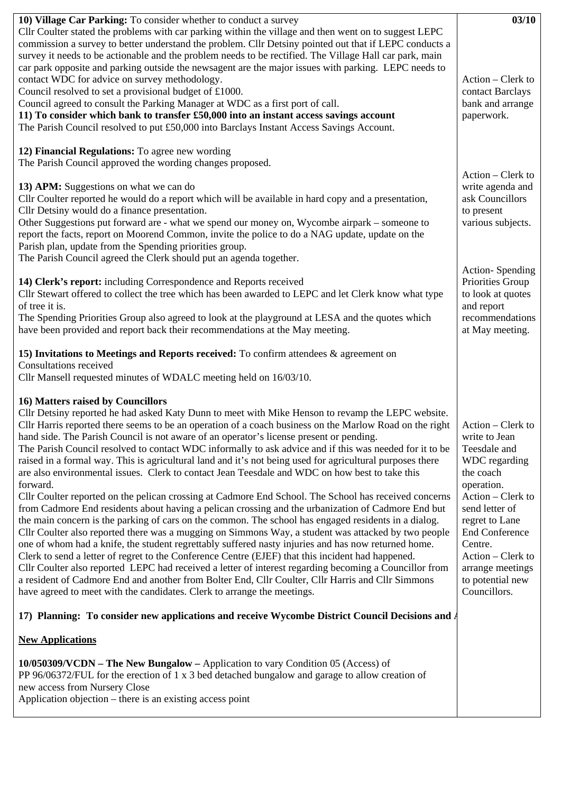| 10) Village Car Parking: To consider whether to conduct a survey                                                                                                                                           | 03/10                 |
|------------------------------------------------------------------------------------------------------------------------------------------------------------------------------------------------------------|-----------------------|
| Cllr Coulter stated the problems with car parking within the village and then went on to suggest LEPC                                                                                                      |                       |
| commission a survey to better understand the problem. Cllr Detsiny pointed out that if LEPC conducts a                                                                                                     |                       |
| survey it needs to be actionable and the problem needs to be rectified. The Village Hall car park, main                                                                                                    |                       |
| car park opposite and parking outside the newsagent are the major issues with parking. LEPC needs to                                                                                                       |                       |
| contact WDC for advice on survey methodology.                                                                                                                                                              | Action - Clerk to     |
| Council resolved to set a provisional budget of £1000.                                                                                                                                                     | contact Barclays      |
| Council agreed to consult the Parking Manager at WDC as a first port of call.                                                                                                                              | bank and arrange      |
| 11) To consider which bank to transfer £50,000 into an instant access savings account                                                                                                                      | paperwork.            |
| The Parish Council resolved to put £50,000 into Barclays Instant Access Savings Account.                                                                                                                   |                       |
| 12) Financial Regulations: To agree new wording                                                                                                                                                            |                       |
| The Parish Council approved the wording changes proposed.                                                                                                                                                  |                       |
|                                                                                                                                                                                                            | Action – Clerk to     |
| 13) APM: Suggestions on what we can do                                                                                                                                                                     | write agenda and      |
| Cllr Coulter reported he would do a report which will be available in hard copy and a presentation,                                                                                                        | ask Councillors       |
| Cllr Detsiny would do a finance presentation.                                                                                                                                                              | to present            |
| Other Suggestions put forward are - what we spend our money on, Wycombe airpark – someone to                                                                                                               | various subjects.     |
| report the facts, report on Moorend Common, invite the police to do a NAG update, update on the                                                                                                            |                       |
| Parish plan, update from the Spending priorities group.                                                                                                                                                    |                       |
| The Parish Council agreed the Clerk should put an agenda together.                                                                                                                                         |                       |
|                                                                                                                                                                                                            | Action-Spending       |
| 14) Clerk's report: including Correspondence and Reports received                                                                                                                                          | Priorities Group      |
| Cllr Stewart offered to collect the tree which has been awarded to LEPC and let Clerk know what type                                                                                                       | to look at quotes     |
| of tree it is.                                                                                                                                                                                             | and report            |
| The Spending Priorities Group also agreed to look at the playground at LESA and the quotes which                                                                                                           | recommendations       |
| have been provided and report back their recommendations at the May meeting.                                                                                                                               | at May meeting.       |
|                                                                                                                                                                                                            |                       |
| 15) Invitations to Meetings and Reports received: To confirm attendees & agreement on                                                                                                                      |                       |
| Consultations received                                                                                                                                                                                     |                       |
| Cllr Mansell requested minutes of WDALC meeting held on 16/03/10.                                                                                                                                          |                       |
|                                                                                                                                                                                                            |                       |
|                                                                                                                                                                                                            |                       |
| 16) Matters raised by Councillors                                                                                                                                                                          |                       |
| Cllr Detsiny reported he had asked Katy Dunn to meet with Mike Henson to revamp the LEPC website.                                                                                                          |                       |
| Cllr Harris reported there seems to be an operation of a coach business on the Marlow Road on the right                                                                                                    | Action – Clerk to     |
|                                                                                                                                                                                                            | write to Jean         |
| hand side. The Parish Council is not aware of an operator's license present or pending.<br>The Parish Council resolved to contact WDC informally to ask advice and if this was needed for it to be         | Teesdale and          |
| raised in a formal way. This is agricultural land and it's not being used for agricultural purposes there                                                                                                  | WDC regarding         |
| are also environmental issues. Clerk to contact Jean Teesdale and WDC on how best to take this                                                                                                             | the coach             |
| forward.                                                                                                                                                                                                   | operation.            |
|                                                                                                                                                                                                            | Action – Clerk to     |
| Cllr Coulter reported on the pelican crossing at Cadmore End School. The School has received concerns                                                                                                      | send letter of        |
| from Cadmore End residents about having a pelican crossing and the urbanization of Cadmore End but<br>the main concern is the parking of cars on the common. The school has engaged residents in a dialog. | regret to Lane        |
|                                                                                                                                                                                                            | <b>End Conference</b> |
| Cllr Coulter also reported there was a mugging on Simmons Way, a student was attacked by two people                                                                                                        | Centre.               |
| one of whom had a knife, the student regrettably suffered nasty injuries and has now returned home.<br>Clerk to send a letter of regret to the Conference Centre (EJEF) that this incident had happened.   | Action – Clerk to     |
| Cllr Coulter also reported LEPC had received a letter of interest regarding becoming a Councillor from                                                                                                     | arrange meetings      |
| a resident of Cadmore End and another from Bolter End, Cllr Coulter, Cllr Harris and Cllr Simmons                                                                                                          | to potential new      |
| have agreed to meet with the candidates. Clerk to arrange the meetings.                                                                                                                                    | Councillors.          |
|                                                                                                                                                                                                            |                       |
| 17) Planning: To consider new applications and receive Wycombe District Council Decisions and A                                                                                                            |                       |
|                                                                                                                                                                                                            |                       |
| <b>New Applications</b>                                                                                                                                                                                    |                       |
| 10/050309/VCDN – The New Bungalow – Application to vary Condition 05 (Access) of                                                                                                                           |                       |
| PP 96/06372/FUL for the erection of 1 x 3 bed detached bungalow and garage to allow creation of                                                                                                            |                       |
| new access from Nursery Close                                                                                                                                                                              |                       |
| Application objection – there is an existing access point                                                                                                                                                  |                       |